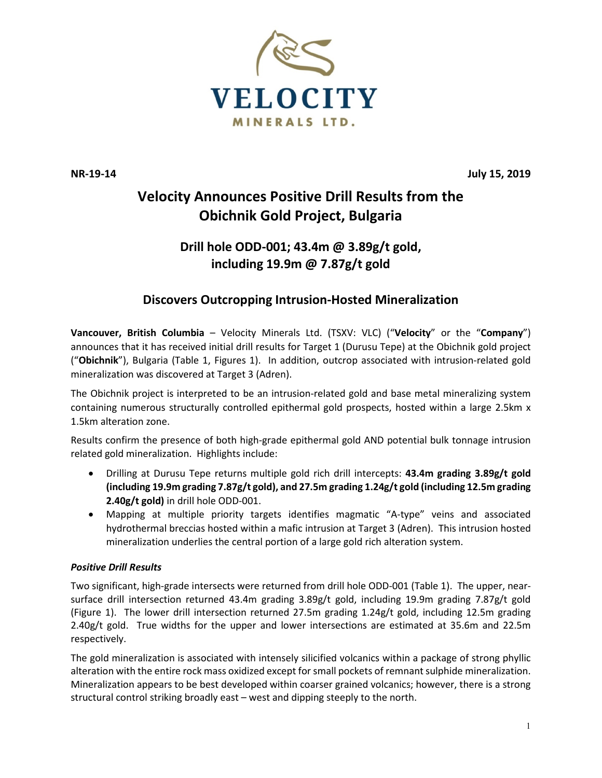

**NR-19-14 July 15, 2019**

# **Velocity Announces Positive Drill Results from the Obichnik Gold Project, Bulgaria**

## **Drill hole ODD-001; 43.4m @ 3.89g/t gold, including 19.9m @ 7.87g/t gold**

### **Discovers Outcropping Intrusion-Hosted Mineralization**

**Vancouver, British Columbia** – Velocity Minerals Ltd. (TSXV: VLC) ("**Velocity**" or the "**Company**") announces that it has received initial drill results for Target 1 (Durusu Tepe) at the Obichnik gold project ("**Obichnik**"), Bulgaria (Table 1, Figures 1). In addition, outcrop associated with intrusion-related gold mineralization was discovered at Target 3 (Adren).

The Obichnik project is interpreted to be an intrusion-related gold and base metal mineralizing system containing numerous structurally controlled epithermal gold prospects, hosted within a large 2.5km x 1.5km alteration zone.

Results confirm the presence of both high-grade epithermal gold AND potential bulk tonnage intrusion related gold mineralization. Highlights include:

- Drilling at Durusu Tepe returns multiple gold rich drill intercepts: **43.4m grading 3.89g/t gold (including 19.9m grading 7.87g/t gold), and 27.5m grading 1.24g/t gold (including 12.5m grading 2.40g/t gold)** in drill hole ODD-001.
- Mapping at multiple priority targets identifies magmatic "A-type" veins and associated hydrothermal breccias hosted within a mafic intrusion at Target 3 (Adren). This intrusion hosted mineralization underlies the central portion of a large gold rich alteration system.

### *Positive Drill Results*

Two significant, high-grade intersects were returned from drill hole ODD-001 (Table 1). The upper, nearsurface drill intersection returned 43.4m grading 3.89g/t gold, including 19.9m grading 7.87g/t gold (Figure 1). The lower drill intersection returned 27.5m grading 1.24g/t gold, including 12.5m grading 2.40g/t gold. True widths for the upper and lower intersections are estimated at 35.6m and 22.5m respectively.

The gold mineralization is associated with intensely silicified volcanics within a package of strong phyllic alteration with the entire rock mass oxidized except for small pockets of remnant sulphide mineralization. Mineralization appears to be best developed within coarser grained volcanics; however, there is a strong structural control striking broadly east – west and dipping steeply to the north.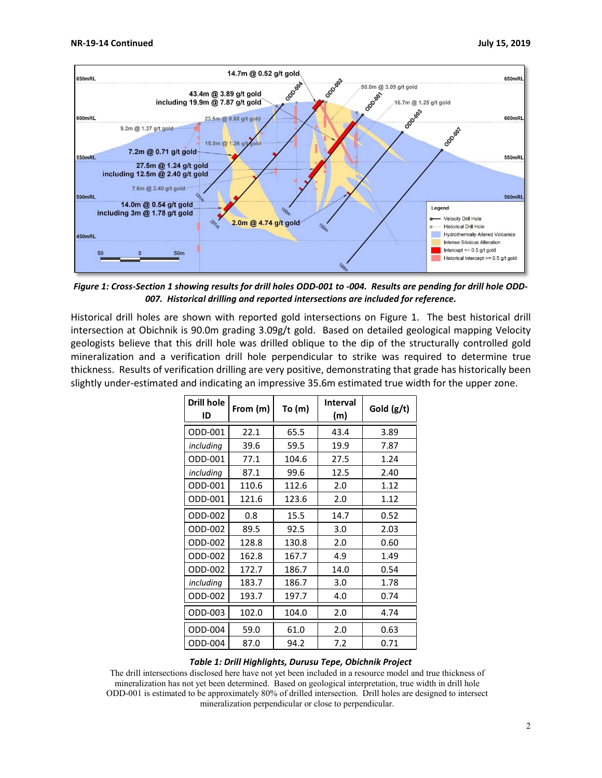

*Figure 1: Cross-Section 1 showing results for drill holes ODD-001 to -004. Results are pending for drill hole ODD-007. Historical drilling and reported intersections are included for reference.* 

Historical drill holes are shown with reported gold intersections on Figure 1. The best historical drill intersection at Obichnik is 90.0m grading 3.09g/t gold. Based on detailed geological mapping Velocity geologists believe that this drill hole was drilled oblique to the dip of the structurally controlled gold mineralization and a verification drill hole perpendicular to strike was required to determine true thickness. Results of verification drilling are very positive, demonstrating that grade has historically been slightly under-estimated and indicating an impressive 35.6m estimated true width for the upper zone.

| <b>Drill hole</b><br>ID | From (m) | To (m) | <b>Interval</b><br>(m) | Gold (g/t) |
|-------------------------|----------|--------|------------------------|------------|
| ODD-001                 | 22.1     | 65.5   | 43.4                   | 3.89       |
| including               | 39.6     | 59.5   | 19.9                   | 7.87       |
| ODD-001                 | 77.1     | 104.6  | 27.5                   | 1.24       |
| including               | 87.1     | 99.6   | 12.5                   | 2.40       |
| ODD-001                 | 110.6    | 112.6  | 2.0                    | 1.12       |
| ODD-001                 | 121.6    | 123.6  | 2.0                    | 1.12       |
| ODD-002                 | 0.8      | 15.5   | 14.7                   | 0.52       |
| ODD-002                 | 89.5     | 92.5   | 3.0                    | 2.03       |
| ODD-002                 | 128.8    | 130.8  | 2.0                    | 0.60       |
| ODD-002                 | 162.8    | 167.7  | 4.9                    | 1.49       |
| ODD-002                 | 172.7    | 186.7  | 14.0                   | 0.54       |
| including               | 183.7    | 186.7  | 3.0                    | 1.78       |
| ODD-002                 | 193.7    | 197.7  | 4.0                    | 0.74       |
| ODD-003                 | 102.0    | 104.0  | 2.0                    | 4.74       |
| ODD-004                 | 59.0     | 61.0   | 2.0                    | 0.63       |
| ODD-004                 | 87.0     | 94.2   | 7.2                    | 0.71       |

#### *Table 1: Drill Highlights, Durusu Tepe, Obichnik Project*

The drill intersections disclosed here have not yet been included in a resource model and true thickness of mineralization has not yet been determined. Based on geological interpretation, true width in drill hole ODD-001 is estimated to be approximately 80% of drilled intersection. Drill holes are designed to intersect mineralization perpendicular or close to perpendicular.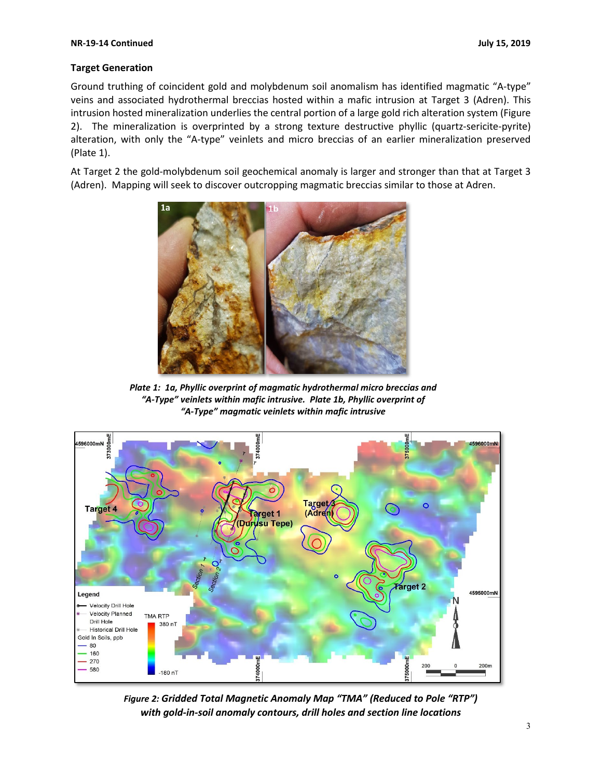#### **NR-19-14 Continued July 15, 2019**

#### **Target Generation**

Ground truthing of coincident gold and molybdenum soil anomalism has identified magmatic "A-type" veins and associated hydrothermal breccias hosted within a mafic intrusion at Target 3 (Adren). This intrusion hosted mineralization underlies the central portion of a large gold rich alteration system (Figure 2). The mineralization is overprinted by a strong texture destructive phyllic (quartz-sericite-pyrite) alteration, with only the "A-type" veinlets and micro breccias of an earlier mineralization preserved (Plate 1).

At Target 2 the gold-molybdenum soil geochemical anomaly is larger and stronger than that at Target 3 (Adren). Mapping will seek to discover outcropping magmatic breccias similar to those at Adren.



*Plate 1: 1a, Phyllic overprint of magmatic hydrothermal micro breccias and "A-Type" veinlets within mafic intrusive. Plate 1b, Phyllic overprint of "A-Type" magmatic veinlets within mafic intrusive*



*Figure 2: Gridded Total Magnetic Anomaly Map "TMA" (Reduced to Pole "RTP") with gold-in-soil anomaly contours, drill holes and section line locations*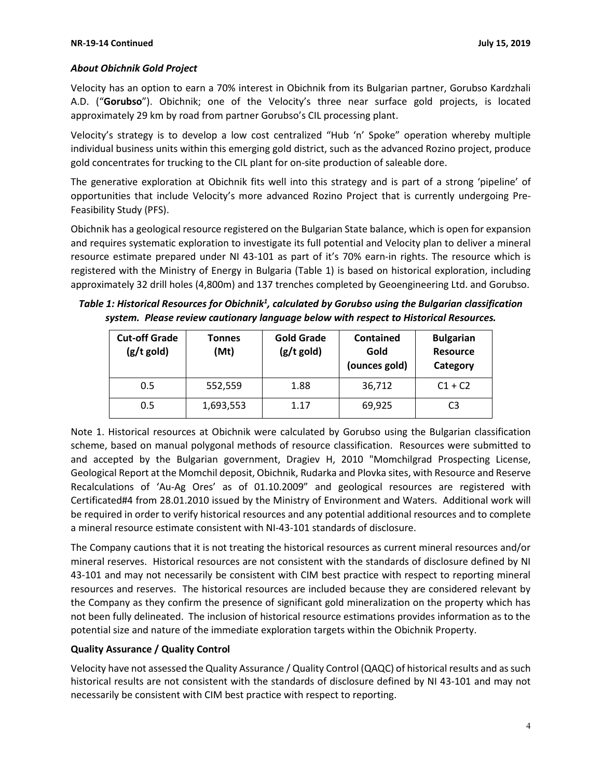#### *About Obichnik Gold Project*

Velocity has an option to earn a 70% interest in Obichnik from its Bulgarian partner, Gorubso Kardzhali A.D. ("**Gorubso**"). Obichnik; one of the Velocity's three near surface gold projects, is located approximately 29 km by road from partner Gorubso's CIL processing plant.

Velocity's strategy is to develop a low cost centralized "Hub 'n' Spoke" operation whereby multiple individual business units within this emerging gold district, such as the advanced Rozino project, produce gold concentrates for trucking to the CIL plant for on-site production of saleable dore.

The generative exploration at Obichnik fits well into this strategy and is part of a strong 'pipeline' of opportunities that include Velocity's more advanced Rozino Project that is currently undergoing Pre-Feasibility Study (PFS).

Obichnik has a geological resource registered on the Bulgarian State balance, which is open for expansion and requires systematic exploration to investigate its full potential and Velocity plan to deliver a mineral resource estimate prepared under NI 43-101 as part of it's 70% earn-in rights. The resource which is registered with the Ministry of Energy in Bulgaria (Table 1) is based on historical exploration, including approximately 32 drill holes (4,800m) and 137 trenches completed by Geoengineering Ltd. and Gorubso.

Table 1: Historical Resources for Obichnik<sup>1</sup>, calculated by Gorubso using the Bulgarian classification *system. Please review cautionary language below with respect to Historical Resources.*

| <b>Cut-off Grade</b><br>$(g/t \text{ gold})$ | <b>Tonnes</b><br>(Mt) | <b>Gold Grade</b><br>$(g/t$ gold) | <b>Contained</b><br>Gold<br>(ounces gold) | <b>Bulgarian</b><br><b>Resource</b><br>Category |
|----------------------------------------------|-----------------------|-----------------------------------|-------------------------------------------|-------------------------------------------------|
| 0.5                                          | 552,559               | 1.88                              | 36,712                                    | $C1 + C2$                                       |
| 0.5                                          | 1,693,553             | 1.17                              | 69,925                                    | C3                                              |

Note 1. Historical resources at Obichnik were calculated by Gorubso using the Bulgarian classification scheme, based on manual polygonal methods of resource classification. Resources were submitted to and accepted by the Bulgarian government, Dragiev H, 2010 "Momchilgrad Prospecting License, Geological Report at the Momchil deposit, Obichnik, Rudarka and Plovka sites, with Resource and Reserve Recalculations of 'Au-Ag Ores' as of 01.10.2009" and geological resources are registered with Certificated#4 from 28.01.2010 issued by the Ministry of Environment and Waters. Additional work will be required in order to verify historical resources and any potential additional resources and to complete a mineral resource estimate consistent with NI-43-101 standards of disclosure.

The Company cautions that it is not treating the historical resources as current mineral resources and/or mineral reserves. Historical resources are not consistent with the standards of disclosure defined by NI 43-101 and may not necessarily be consistent with CIM best practice with respect to reporting mineral resources and reserves. The historical resources are included because they are considered relevant by the Company as they confirm the presence of significant gold mineralization on the property which has not been fully delineated. The inclusion of historical resource estimations provides information as to the potential size and nature of the immediate exploration targets within the Obichnik Property.

### **Quality Assurance / Quality Control**

Velocity have not assessed the Quality Assurance / Quality Control (QAQC) of historical results and as such historical results are not consistent with the standards of disclosure defined by NI 43-101 and may not necessarily be consistent with CIM best practice with respect to reporting.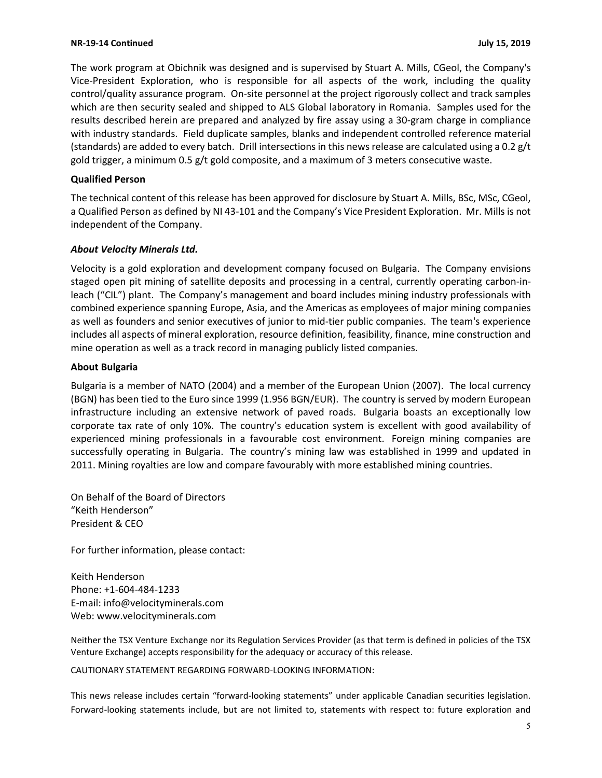The work program at Obichnik was designed and is supervised by Stuart A. Mills, CGeol, the Company's Vice-President Exploration, who is responsible for all aspects of the work, including the quality control/quality assurance program. On-site personnel at the project rigorously collect and track samples which are then security sealed and shipped to ALS Global laboratory in Romania. Samples used for the results described herein are prepared and analyzed by fire assay using a 30-gram charge in compliance with industry standards. Field duplicate samples, blanks and independent controlled reference material (standards) are added to every batch. Drill intersections in this news release are calculated using a 0.2 g/t gold trigger, a minimum 0.5 g/t gold composite, and a maximum of 3 meters consecutive waste.

#### **Qualified Person**

The technical content of this release has been approved for disclosure by Stuart A. Mills, BSc, MSc, CGeol, a Qualified Person as defined by NI 43-101 and the Company's Vice President Exploration. Mr. Mills is not independent of the Company.

#### *About Velocity Minerals Ltd.*

Velocity is a gold exploration and development company focused on Bulgaria. The Company envisions staged open pit mining of satellite deposits and processing in a central, currently operating carbon-inleach ("CIL") plant. The Company's management and board includes mining industry professionals with combined experience spanning Europe, Asia, and the Americas as employees of major mining companies as well as founders and senior executives of junior to mid-tier public companies. The team's experience includes all aspects of mineral exploration, resource definition, feasibility, finance, mine construction and mine operation as well as a track record in managing publicly listed companies.

#### **About Bulgaria**

Bulgaria is a member of NATO (2004) and a member of the European Union (2007). The local currency (BGN) has been tied to the Euro since 1999 (1.956 BGN/EUR). The country is served by modern European infrastructure including an extensive network of paved roads. Bulgaria boasts an exceptionally low corporate tax rate of only 10%. The country's education system is excellent with good availability of experienced mining professionals in a favourable cost environment. Foreign mining companies are successfully operating in Bulgaria. The country's mining law was established in 1999 and updated in 2011. Mining royalties are low and compare favourably with more established mining countries.

On Behalf of the Board of Directors "Keith Henderson" President & CEO

For further information, please contact:

Keith Henderson Phone: +1-604-484-1233 E-mail: [info@velocityminerals.com](mailto:info@velocityminerals.com) Web: [www.velocityminerals.com](http://www.velocityminerals.com/)

Neither the TSX Venture Exchange nor its Regulation Services Provider (as that term is defined in policies of the TSX Venture Exchange) accepts responsibility for the adequacy or accuracy of this release.

CAUTIONARY STATEMENT REGARDING FORWARD-LOOKING INFORMATION:

This news release includes certain "forward-looking statements" under applicable Canadian securities legislation. Forward-looking statements include, but are not limited to, statements with respect to: future exploration and